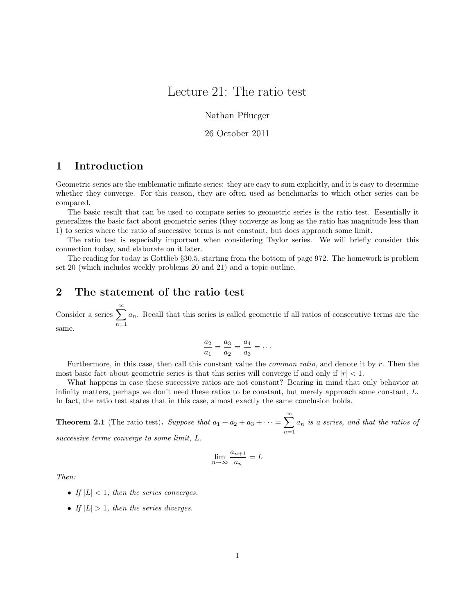# Lecture 21: The ratio test

Nathan Pflueger

26 October 2011

## 1 Introduction

Geometric series are the emblematic infinite series: they are easy to sum explicitly, and it is easy to determine whether they converge. For this reason, they are often used as benchmarks to which other series can be compared.

The basic result that can be used to compare series to geometric series is the ratio test. Essentially it generalizes the basic fact about geometric series (they converge as long as the ratio has magnitude less than 1) to series where the ratio of successive terms is not constant, but does approach some limit.

The ratio test is especially important when considering Taylor series. We will briefly consider this connection today, and elaborate on it later.

The reading for today is Gottlieb §30.5, starting from the bottom of page 972. The homework is problem set 20 (which includes weekly problems 20 and 21) and a topic outline.

### 2 The statement of the ratio test

Consider a series  $\sum_{n=1}^{\infty}$  $n=1$  $a_n$ . Recall that this series is called geometric if all ratios of consecutive terms are the same.

$$
\frac{a_2}{a_1} = \frac{a_3}{a_2} = \frac{a_4}{a_3} = \cdots
$$

Furthermore, in this case, then call this constant value the common ratio, and denote it by r. Then the most basic fact about geometric series is that this series will converge if and only if  $|r| < 1$ .

What happens in case these successive ratios are not constant? Bearing in mind that only behavior at infinity matters, perhaps we don't need these ratios to be constant, but merely approach some constant, L. In fact, the ratio test states that in this case, almost exactly the same conclusion holds.

**Theorem 2.1** (The ratio test). Suppose that  $a_1 + a_2 + a_3 + \cdots = \sum_{n=1}^{\infty} a_n$  $n=1$  $a_n$  is a series, and that the ratios of successive terms converge to some limit, L.

$$
\lim_{n \to \infty} \frac{a_{n+1}}{a_n} = L
$$

Then:

- If  $|L| < 1$ , then the series converges.
- If  $|L| > 1$ , then the series diverges.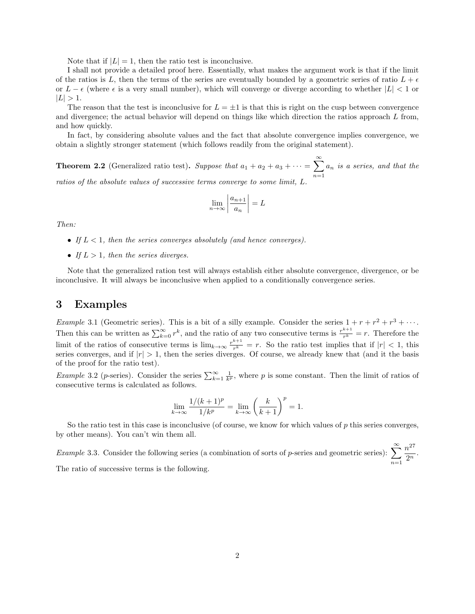Note that if  $|L| = 1$ , then the ratio test is inconclusive.

I shall not provide a detailed proof here. Essentially, what makes the argument work is that if the limit of the ratios is L, then the terms of the series are eventually bounded by a geometric series of ratio  $L + \epsilon$ or  $L - \epsilon$  (where  $\epsilon$  is a very small number), which will converge or diverge according to whether  $|L| < 1$  or  $|L| > 1.$ 

The reason that the test is inconclusive for  $L = \pm 1$  is that this is right on the cusp between convergence and divergence; the actual behavior will depend on things like which direction the ratios approach L from, and how quickly.

In fact, by considering absolute values and the fact that absolute convergence implies convergence, we obtain a slightly stronger statement (which follows readily from the original statement).

**Theorem 2.2** (Generalized ratio test). Suppose that  $a_1 + a_2 + a_3 + \cdots = \sum_{n=1}^{\infty} a_n$  $n=1$  $a_n$  is a series, and that the ratios of the absolute values of successive terms converge to some limit, L.

$$
\lim_{n \to \infty} \left| \frac{a_{n+1}}{a_n} \right| = L
$$

Then:

- If  $L < 1$ , then the series converges absolutely (and hence converges).
- If  $L > 1$ , then the series diverges.

Note that the generalized ration test will always establish either absolute convergence, divergence, or be inconclusive. It will always be inconclusive when applied to a conditionally convergence series.

#### 3 Examples

*Example* 3.1 (Geometric series). This is a bit of a silly example. Consider the series  $1 + r + r^2 + r^3 + \cdots$ . Then this can be written as  $\sum_{k=0}^{\infty} r^k$ , and the ratio of any two consecutive terms is  $\frac{r^{k+1}}{r^k}$  $\frac{r^{k-1}}{r^k} = r$ . Therefore the limit of the ratios of consecutive terms is  $\lim_{k\to\infty} \frac{r^{k+1}}{r^k}$  $r^{\frac{n+1}{r}} = r$ . So the ratio test implies that if  $|r| < 1$ , this series converges, and if  $|r| > 1$ , then the series diverges. Of course, we already knew that (and it the basis of the proof for the ratio test).

*Example* 3.2 (*p*-series). Consider the series  $\sum_{k=1}^{\infty} \frac{1}{k^p}$ , where *p* is some constant. Then the limit of ratios of consecutive terms is calculated as follows.

$$
\lim_{k \to \infty} \frac{1/(k+1)^p}{1/k^p} = \lim_{k \to \infty} \left(\frac{k}{k+1}\right)^p = 1.
$$

So the ratio test in this case is inconclusive (of course, we know for which values of  $p$  this series converges, by other means). You can't win them all.

Example 3.3. Consider the following series (a combination of sorts of p-series and geometric series):  $\sum_{n=1}^{\infty}$  $n=1$  $n^{27}$  $rac{v}{2^n}$ .

The ratio of successive terms is the following.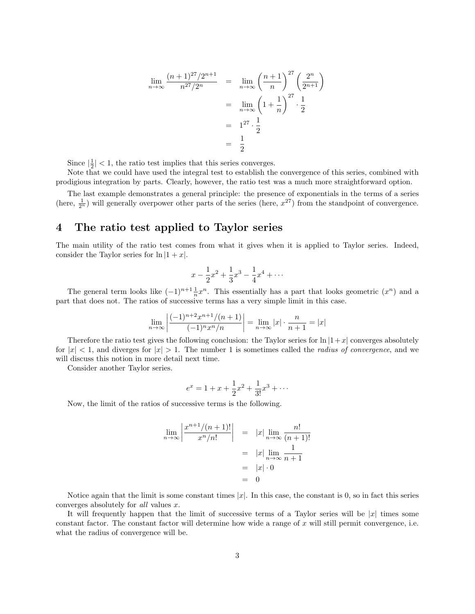$$
\lim_{n \to \infty} \frac{(n+1)^{27}/2^{n+1}}{n^{27}/2^n} = \lim_{n \to \infty} \left(\frac{n+1}{n}\right)^{27} \left(\frac{2^n}{2^{n+1}}\right)
$$

$$
= \lim_{n \to \infty} \left(1 + \frac{1}{n}\right)^{27} \cdot \frac{1}{2}
$$

$$
= 1^{27} \cdot \frac{1}{2}
$$

$$
= \frac{1}{2}
$$

Since  $\left|\frac{1}{2}\right|$  < 1, the ratio test implies that this series converges.

Note that we could have used the integral test to establish the convergence of this series, combined with prodigious integration by parts. Clearly, however, the ratio test was a much more straightforward option.

The last example demonstrates a general principle: the presence of exponentials in the terms of a series (here,  $\frac{1}{2^n}$ ) will generally overpower other parts of the series (here,  $x^{27}$ ) from the standpoint of convergence.

## 4 The ratio test applied to Taylor series

The main utility of the ratio test comes from what it gives when it is applied to Taylor series. Indeed, consider the Taylor series for  $\ln |1 + x|$ .

$$
x - \frac{1}{2}x^2 + \frac{1}{3}x^3 - \frac{1}{4}x^4 + \cdots
$$

The general term looks like  $(-1)^{n+1} \frac{1}{n} x^n$ . This essentially has a part that looks geometric  $(x^n)$  and a part that does not. The ratios of successive terms has a very simple limit in this case.

$$
\lim_{n \to \infty} \left| \frac{(-1)^{n+2} x^{n+1} / (n+1)}{(-1)^n x^n / n} \right| = \lim_{n \to \infty} |x| \cdot \frac{n}{n+1} = |x|
$$

Therefore the ratio test gives the following conclusion: the Taylor series for  $\ln |1+x|$  converges absolutely for  $|x| < 1$ , and diverges for  $|x| > 1$ . The number 1 is sometimes called the *radius of convergence*, and we will discuss this notion in more detail next time.

Consider another Taylor series.

$$
e^x = 1 + x + \frac{1}{2}x^2 + \frac{1}{3!}x^3 + \dots
$$

Now, the limit of the ratios of successive terms is the following.

$$
\lim_{n \to \infty} \left| \frac{x^{n+1}/(n+1)!}{x^n/n!} \right| = |x| \lim_{n \to \infty} \frac{n!}{(n+1)!}
$$

$$
= |x| \lim_{n \to \infty} \frac{1}{n+1}
$$

$$
= |x| \cdot 0
$$

$$
= 0
$$

Notice again that the limit is some constant times  $|x|$ . In this case, the constant is 0, so in fact this series converges absolutely for all values x.

It will frequently happen that the limit of successive terms of a Taylor series will be  $|x|$  times some constant factor. The constant factor will determine how wide a range of  $x$  will still permit convergence, i.e. what the radius of convergence will be.